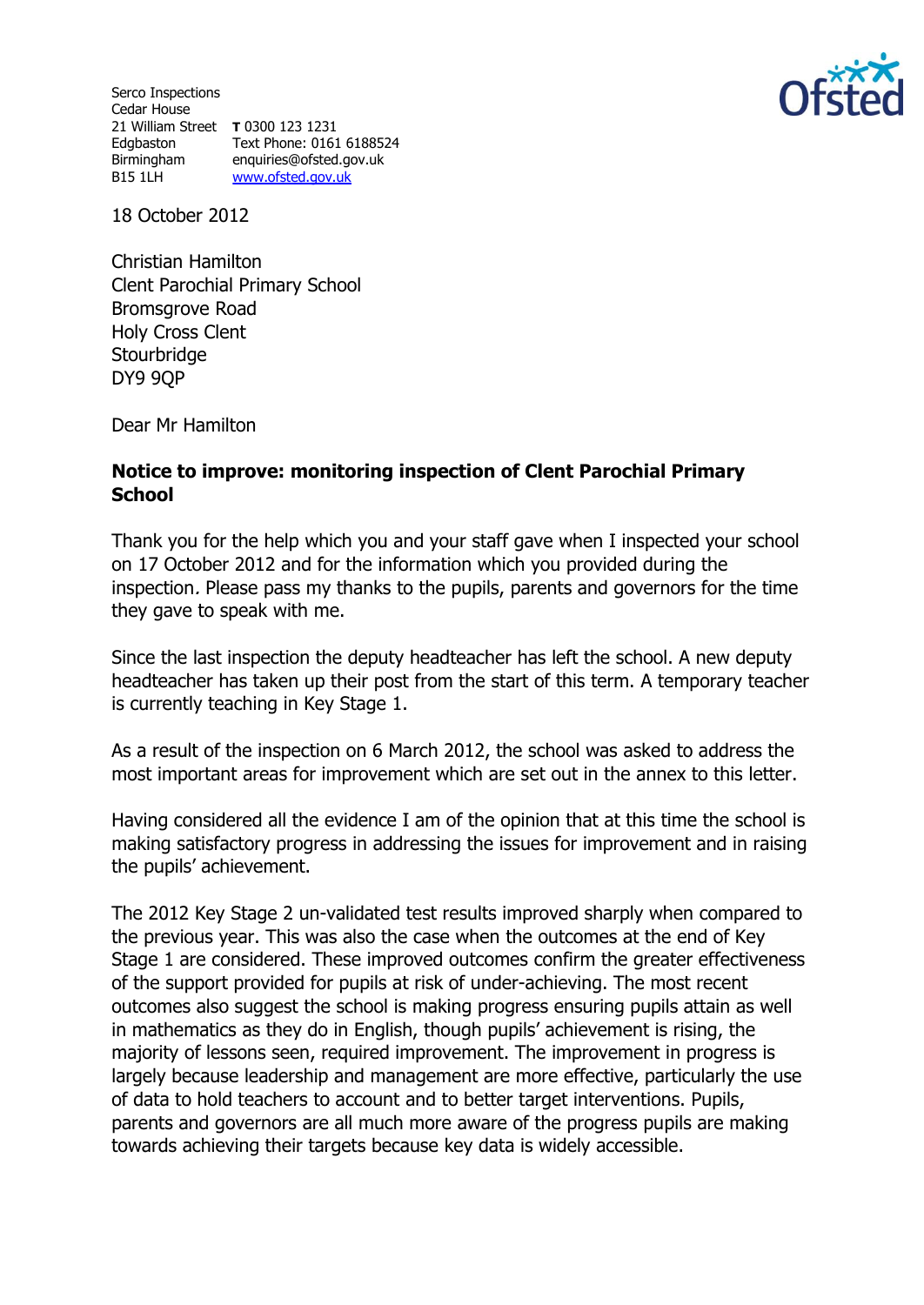Serco Inspections Cedar House 21 William Street **T** 0300 123 1231 Edgbaston Text Phone: 0161 6188524 Birmingham enquiries@ofsted.gov.uk B15 1LH [www.ofsted.gov.uk](http://www.ofsted.gov.uk/)



18 October 2012

Christian Hamilton Clent Parochial Primary School Bromsgrove Road Holy Cross Clent **Stourbridge** DY9 9QP

Dear Mr Hamilton

## **Notice to improve: monitoring inspection of Clent Parochial Primary School**

Thank you for the help which you and your staff gave when I inspected your school on 17 October 2012 and for the information which you provided during the inspection. Please pass my thanks to the pupils, parents and governors for the time they gave to speak with me.

Since the last inspection the deputy headteacher has left the school. A new deputy headteacher has taken up their post from the start of this term. A temporary teacher is currently teaching in Key Stage 1.

As a result of the inspection on 6 March 2012, the school was asked to address the most important areas for improvement which are set out in the annex to this letter.

Having considered all the evidence I am of the opinion that at this time the school is making satisfactory progress in addressing the issues for improvement and in raising the pupils' achievement.

The 2012 Key Stage 2 un-validated test results improved sharply when compared to the previous year. This was also the case when the outcomes at the end of Key Stage 1 are considered. These improved outcomes confirm the greater effectiveness of the support provided for pupils at risk of under-achieving. The most recent outcomes also suggest the school is making progress ensuring pupils attain as well in mathematics as they do in English, though pupils' achievement is rising, the majority of lessons seen, required improvement. The improvement in progress is largely because leadership and management are more effective, particularly the use of data to hold teachers to account and to better target interventions. Pupils, parents and governors are all much more aware of the progress pupils are making towards achieving their targets because key data is widely accessible.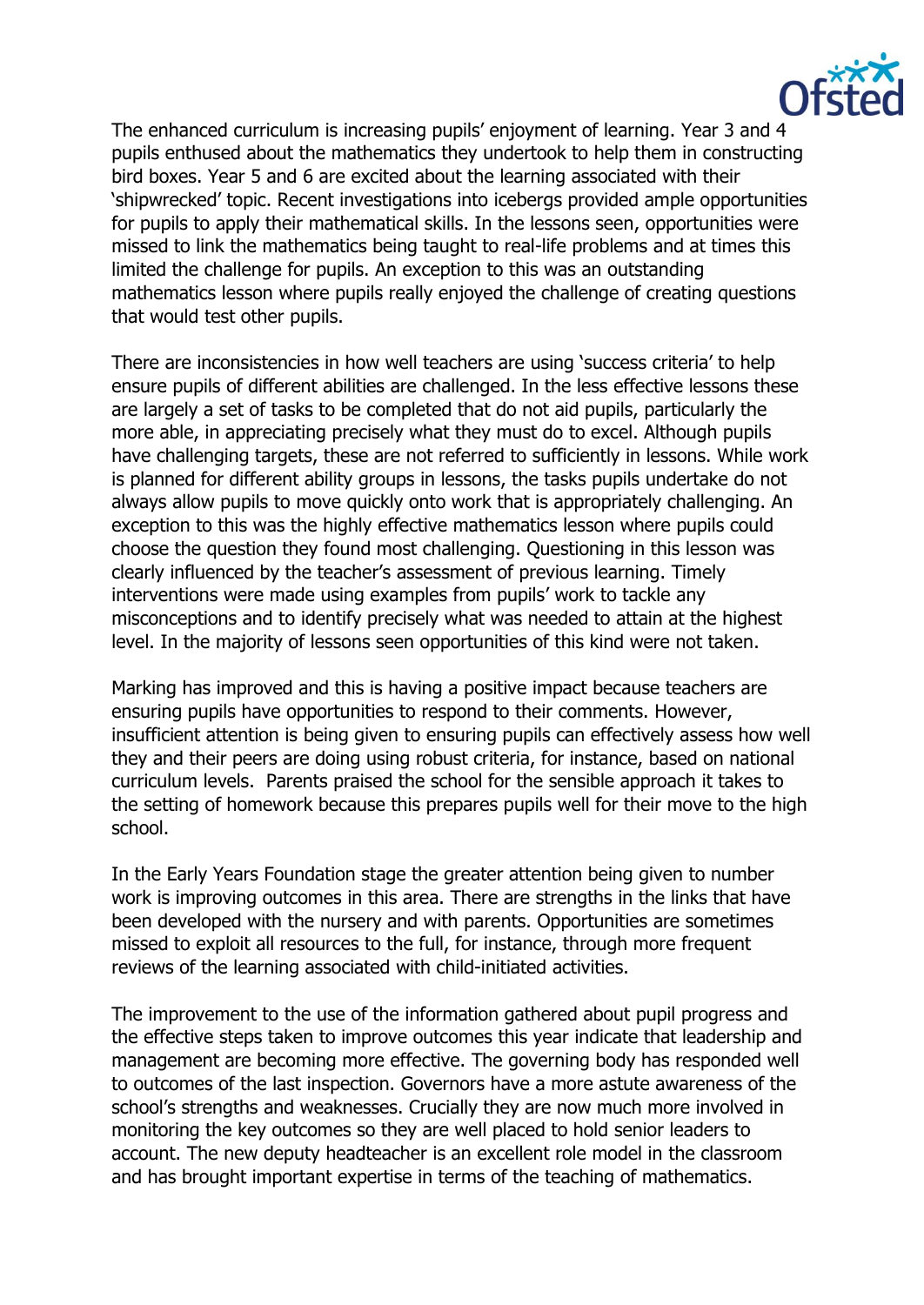

The enhanced curriculum is increasing pupils' enjoyment of learning. Year 3 and 4 pupils enthused about the mathematics they undertook to help them in constructing bird boxes. Year 5 and 6 are excited about the learning associated with their 'shipwrecked' topic. Recent investigations into icebergs provided ample opportunities for pupils to apply their mathematical skills. In the lessons seen, opportunities were missed to link the mathematics being taught to real-life problems and at times this limited the challenge for pupils. An exception to this was an outstanding mathematics lesson where pupils really enjoyed the challenge of creating questions that would test other pupils.

There are inconsistencies in how well teachers are using 'success criteria' to help ensure pupils of different abilities are challenged. In the less effective lessons these are largely a set of tasks to be completed that do not aid pupils, particularly the more able, in appreciating precisely what they must do to excel. Although pupils have challenging targets, these are not referred to sufficiently in lessons. While work is planned for different ability groups in lessons, the tasks pupils undertake do not always allow pupils to move quickly onto work that is appropriately challenging. An exception to this was the highly effective mathematics lesson where pupils could choose the question they found most challenging. Questioning in this lesson was clearly influenced by the teacher's assessment of previous learning. Timely interventions were made using examples from pupils' work to tackle any misconceptions and to identify precisely what was needed to attain at the highest level. In the majority of lessons seen opportunities of this kind were not taken.

Marking has improved and this is having a positive impact because teachers are ensuring pupils have opportunities to respond to their comments. However, insufficient attention is being given to ensuring pupils can effectively assess how well they and their peers are doing using robust criteria, for instance, based on national curriculum levels. Parents praised the school for the sensible approach it takes to the setting of homework because this prepares pupils well for their move to the high school.

In the Early Years Foundation stage the greater attention being given to number work is improving outcomes in this area. There are strengths in the links that have been developed with the nursery and with parents. Opportunities are sometimes missed to exploit all resources to the full, for instance, through more frequent reviews of the learning associated with child-initiated activities.

The improvement to the use of the information gathered about pupil progress and the effective steps taken to improve outcomes this year indicate that leadership and management are becoming more effective. The governing body has responded well to outcomes of the last inspection. Governors have a more astute awareness of the school's strengths and weaknesses. Crucially they are now much more involved in monitoring the key outcomes so they are well placed to hold senior leaders to account. The new deputy headteacher is an excellent role model in the classroom and has brought important expertise in terms of the teaching of mathematics.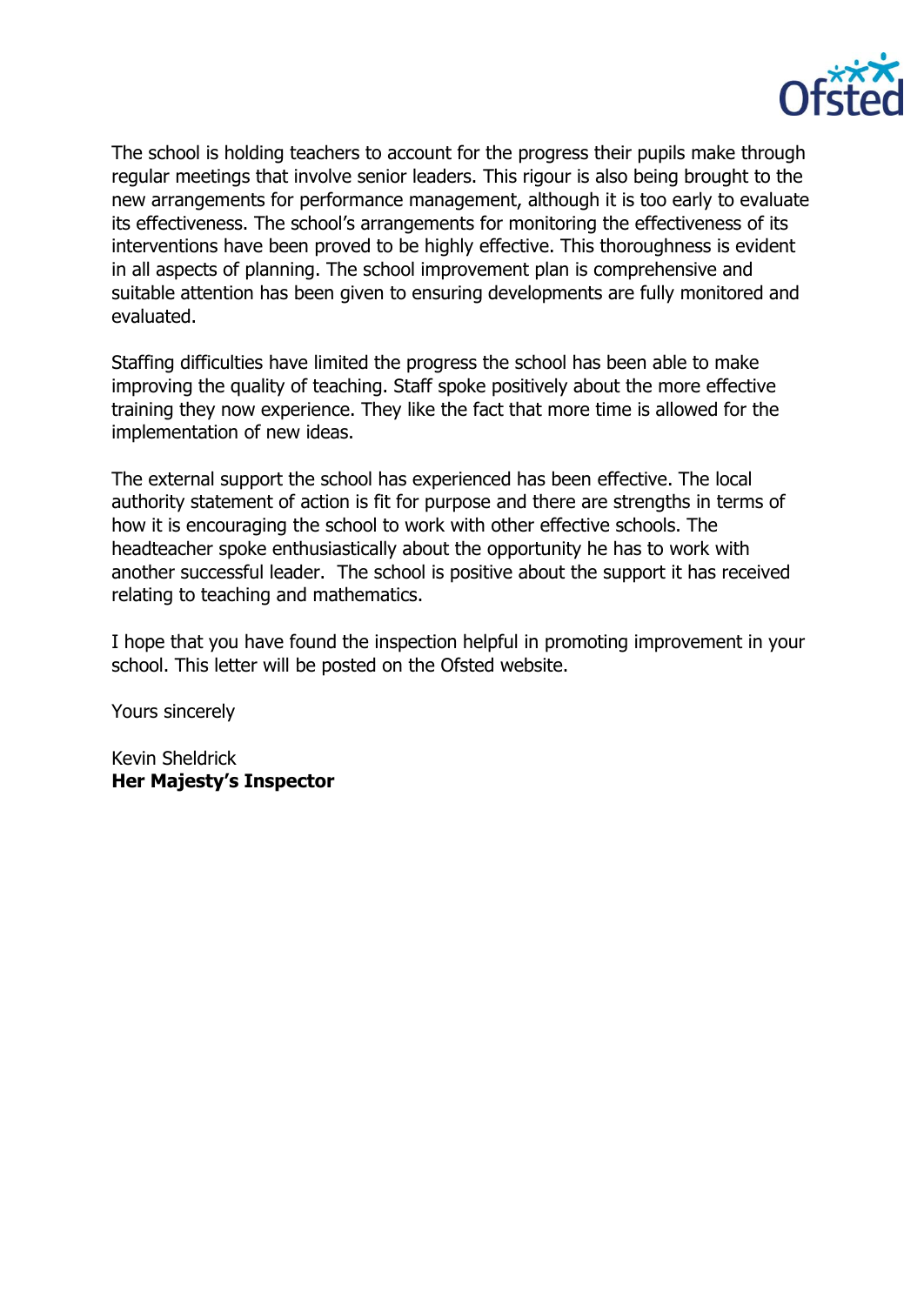

The school is holding teachers to account for the progress their pupils make through regular meetings that involve senior leaders. This rigour is also being brought to the new arrangements for performance management, although it is too early to evaluate its effectiveness. The school's arrangements for monitoring the effectiveness of its interventions have been proved to be highly effective. This thoroughness is evident in all aspects of planning. The school improvement plan is comprehensive and suitable attention has been given to ensuring developments are fully monitored and evaluated.

Staffing difficulties have limited the progress the school has been able to make improving the quality of teaching. Staff spoke positively about the more effective training they now experience. They like the fact that more time is allowed for the implementation of new ideas.

The external support the school has experienced has been effective. The local authority statement of action is fit for purpose and there are strengths in terms of how it is encouraging the school to work with other effective schools. The headteacher spoke enthusiastically about the opportunity he has to work with another successful leader. The school is positive about the support it has received relating to teaching and mathematics.

I hope that you have found the inspection helpful in promoting improvement in your school. This letter will be posted on the Ofsted website.

Yours sincerely

Kevin Sheldrick **Her Majesty's Inspector**